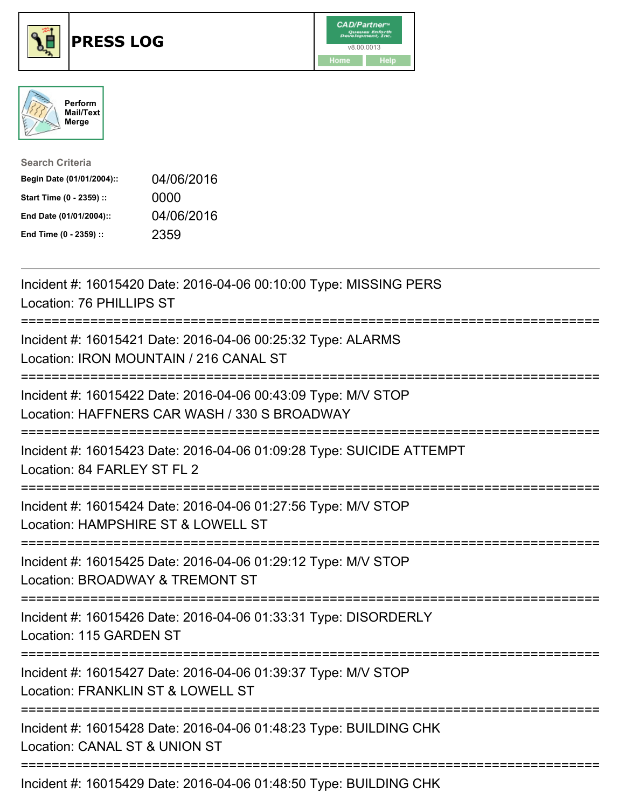





| <b>Search Criteria</b>    |            |
|---------------------------|------------|
| Begin Date (01/01/2004):: | 04/06/2016 |
| Start Time (0 - 2359) ::  | 0000       |
| End Date (01/01/2004)::   | 04/06/2016 |
| End Time (0 - 2359) ::    | 2359       |

| Incident #: 16015420 Date: 2016-04-06 00:10:00 Type: MISSING PERS<br>Location: 76 PHILLIPS ST                                                         |
|-------------------------------------------------------------------------------------------------------------------------------------------------------|
| Incident #: 16015421 Date: 2016-04-06 00:25:32 Type: ALARMS<br>Location: IRON MOUNTAIN / 216 CANAL ST                                                 |
| Incident #: 16015422 Date: 2016-04-06 00:43:09 Type: M/V STOP<br>Location: HAFFNERS CAR WASH / 330 S BROADWAY<br>:=================================== |
| Incident #: 16015423 Date: 2016-04-06 01:09:28 Type: SUICIDE ATTEMPT<br>Location: 84 FARLEY ST FL 2<br>--------------------                           |
| Incident #: 16015424 Date: 2016-04-06 01:27:56 Type: M/V STOP<br>Location: HAMPSHIRE ST & LOWELL ST<br>===============================                |
| Incident #: 16015425 Date: 2016-04-06 01:29:12 Type: M/V STOP<br>Location: BROADWAY & TREMONT ST                                                      |
| Incident #: 16015426 Date: 2016-04-06 01:33:31 Type: DISORDERLY<br>Location: 115 GARDEN ST<br>==========                                              |
| Incident #: 16015427 Date: 2016-04-06 01:39:37 Type: M/V STOP<br>Location: FRANKLIN ST & LOWELL ST                                                    |
| Incident #: 16015428 Date: 2016-04-06 01:48:23 Type: BUILDING CHK<br>Location: CANAL ST & UNION ST                                                    |
|                                                                                                                                                       |

Incident #: 16015429 Date: 2016-04-06 01:48:50 Type: BUILDING CHK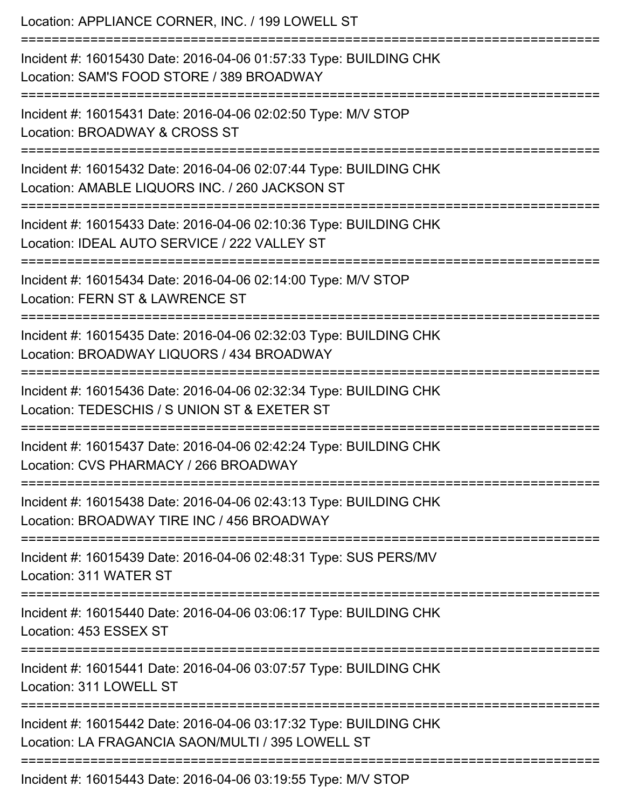| Location: APPLIANCE CORNER, INC. / 199 LOWELL ST<br>--------------------------------                                                                                   |
|------------------------------------------------------------------------------------------------------------------------------------------------------------------------|
| Incident #: 16015430 Date: 2016-04-06 01:57:33 Type: BUILDING CHK<br>Location: SAM'S FOOD STORE / 389 BROADWAY                                                         |
| Incident #: 16015431 Date: 2016-04-06 02:02:50 Type: M/V STOP<br>Location: BROADWAY & CROSS ST<br>===========================                                          |
| Incident #: 16015432 Date: 2016-04-06 02:07:44 Type: BUILDING CHK<br>Location: AMABLE LIQUORS INC. / 260 JACKSON ST                                                    |
| Incident #: 16015433 Date: 2016-04-06 02:10:36 Type: BUILDING CHK<br>Location: IDEAL AUTO SERVICE / 222 VALLEY ST                                                      |
| Incident #: 16015434 Date: 2016-04-06 02:14:00 Type: M/V STOP<br>Location: FERN ST & LAWRENCE ST                                                                       |
| Incident #: 16015435 Date: 2016-04-06 02:32:03 Type: BUILDING CHK<br>Location: BROADWAY LIQUORS / 434 BROADWAY<br>=============================<br>=================== |
| Incident #: 16015436 Date: 2016-04-06 02:32:34 Type: BUILDING CHK<br>Location: TEDESCHIS / S UNION ST & EXETER ST<br>=================================                 |
| Incident #: 16015437 Date: 2016-04-06 02:42:24 Type: BUILDING CHK<br>Location: CVS PHARMACY / 266 BROADWAY                                                             |
| Incident #: 16015438 Date: 2016-04-06 02:43:13 Type: BUILDING CHK<br>Location: BROADWAY TIRE INC / 456 BROADWAY                                                        |
| Incident #: 16015439 Date: 2016-04-06 02:48:31 Type: SUS PERS/MV<br>Location: 311 WATER ST                                                                             |
| Incident #: 16015440 Date: 2016-04-06 03:06:17 Type: BUILDING CHK<br>Location: 453 ESSEX ST                                                                            |
| Incident #: 16015441 Date: 2016-04-06 03:07:57 Type: BUILDING CHK<br>Location: 311 LOWELL ST                                                                           |
| Incident #: 16015442 Date: 2016-04-06 03:17:32 Type: BUILDING CHK<br>Location: LA FRAGANCIA SAON/MULTI / 395 LOWELL ST                                                 |
| Incident #: 16015443 Date: 2016-04-06 03:19:55 Type: M/V STOP                                                                                                          |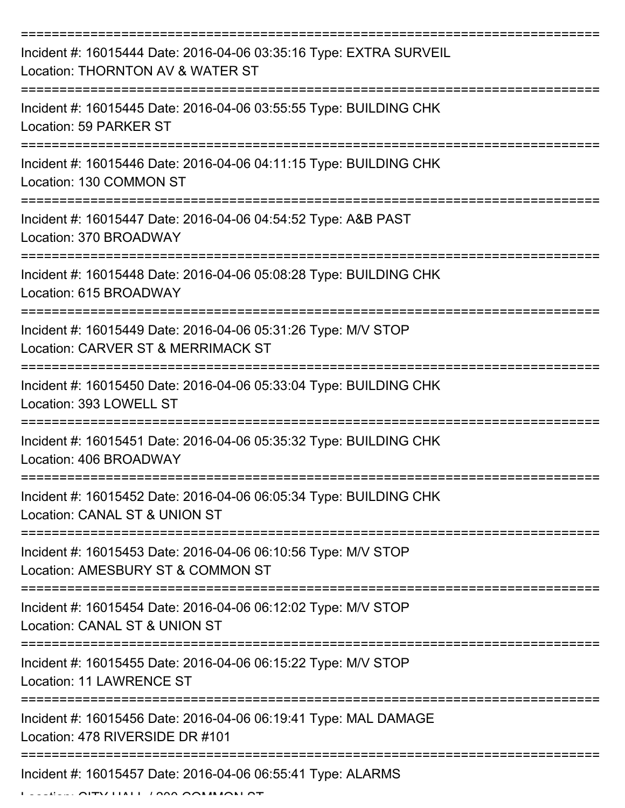| Incident #: 16015444 Date: 2016-04-06 03:35:16 Type: EXTRA SURVEIL<br>Location: THORNTON AV & WATER ST |
|--------------------------------------------------------------------------------------------------------|
| Incident #: 16015445 Date: 2016-04-06 03:55:55 Type: BUILDING CHK<br>Location: 59 PARKER ST            |
| Incident #: 16015446 Date: 2016-04-06 04:11:15 Type: BUILDING CHK<br>Location: 130 COMMON ST           |
| Incident #: 16015447 Date: 2016-04-06 04:54:52 Type: A&B PAST<br>Location: 370 BROADWAY                |
| Incident #: 16015448 Date: 2016-04-06 05:08:28 Type: BUILDING CHK<br>Location: 615 BROADWAY            |
| Incident #: 16015449 Date: 2016-04-06 05:31:26 Type: M/V STOP<br>Location: CARVER ST & MERRIMACK ST    |
| Incident #: 16015450 Date: 2016-04-06 05:33:04 Type: BUILDING CHK<br>Location: 393 LOWELL ST           |
| Incident #: 16015451 Date: 2016-04-06 05:35:32 Type: BUILDING CHK<br>Location: 406 BROADWAY            |
| Incident #: 16015452 Date: 2016-04-06 06:05:34 Type: BUILDING CHK<br>Location: CANAL ST & UNION ST     |
| Incident #: 16015453 Date: 2016-04-06 06:10:56 Type: M/V STOP<br>Location: AMESBURY ST & COMMON ST     |
| Incident #: 16015454 Date: 2016-04-06 06:12:02 Type: M/V STOP<br>Location: CANAL ST & UNION ST         |
| Incident #: 16015455 Date: 2016-04-06 06:15:22 Type: M/V STOP<br><b>Location: 11 LAWRENCE ST</b>       |
| Incident #: 16015456 Date: 2016-04-06 06:19:41 Type: MAL DAMAGE<br>Location: 478 RIVERSIDE DR #101     |
| Incident #: 16015457 Date: 2016-04-06 06:55:41 Type: ALARMS                                            |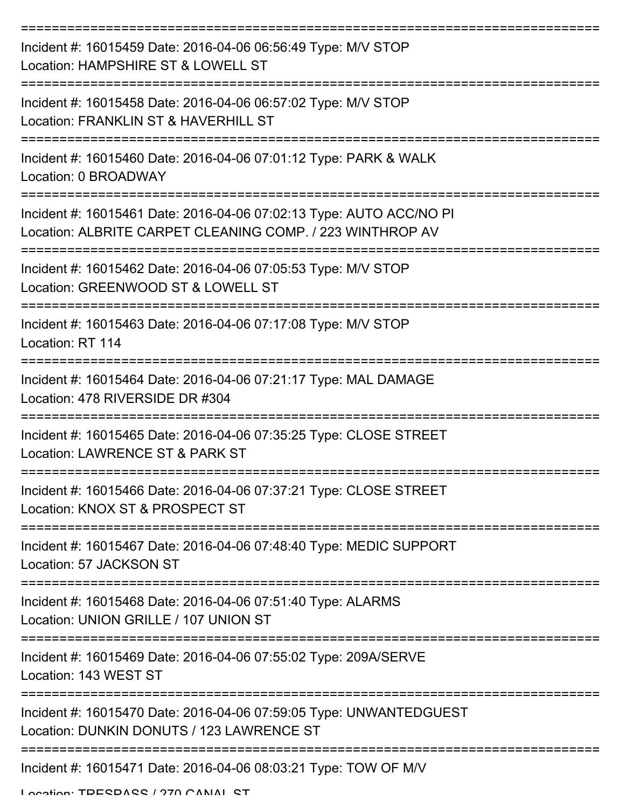| Incident #: 16015459 Date: 2016-04-06 06:56:49 Type: M/V STOP<br>Location: HAMPSHIRE ST & LOWELL ST                              |
|----------------------------------------------------------------------------------------------------------------------------------|
| Incident #: 16015458 Date: 2016-04-06 06:57:02 Type: M/V STOP<br>Location: FRANKLIN ST & HAVERHILL ST                            |
| Incident #: 16015460 Date: 2016-04-06 07:01:12 Type: PARK & WALK<br>Location: 0 BROADWAY                                         |
| Incident #: 16015461 Date: 2016-04-06 07:02:13 Type: AUTO ACC/NO PI<br>Location: ALBRITE CARPET CLEANING COMP. / 223 WINTHROP AV |
| Incident #: 16015462 Date: 2016-04-06 07:05:53 Type: M/V STOP<br>Location: GREENWOOD ST & LOWELL ST                              |
| Incident #: 16015463 Date: 2016-04-06 07:17:08 Type: M/V STOP<br>Location: RT 114                                                |
| Incident #: 16015464 Date: 2016-04-06 07:21:17 Type: MAL DAMAGE<br>Location: 478 RIVERSIDE DR #304                               |
| Incident #: 16015465 Date: 2016-04-06 07:35:25 Type: CLOSE STREET<br>Location: LAWRENCE ST & PARK ST                             |
| Incident #: 16015466 Date: 2016-04-06 07:37:21 Type: CLOSE STREET<br>Location: KNOX ST & PROSPECT ST                             |
| Incident #: 16015467 Date: 2016-04-06 07:48:40 Type: MEDIC SUPPORT<br>Location: 57 JACKSON ST                                    |
| Incident #: 16015468 Date: 2016-04-06 07:51:40 Type: ALARMS<br>Location: UNION GRILLE / 107 UNION ST                             |
| Incident #: 16015469 Date: 2016-04-06 07:55:02 Type: 209A/SERVE<br>Location: 143 WEST ST                                         |
| Incident #: 16015470 Date: 2016-04-06 07:59:05 Type: UNWANTEDGUEST<br>Location: DUNKIN DONUTS / 123 LAWRENCE ST                  |
| Incident #: 16015471 Date: 2016-04-06 08:03:21 Type: TOW OF M/V                                                                  |

Location: TDECDACC / 270 CANAL CT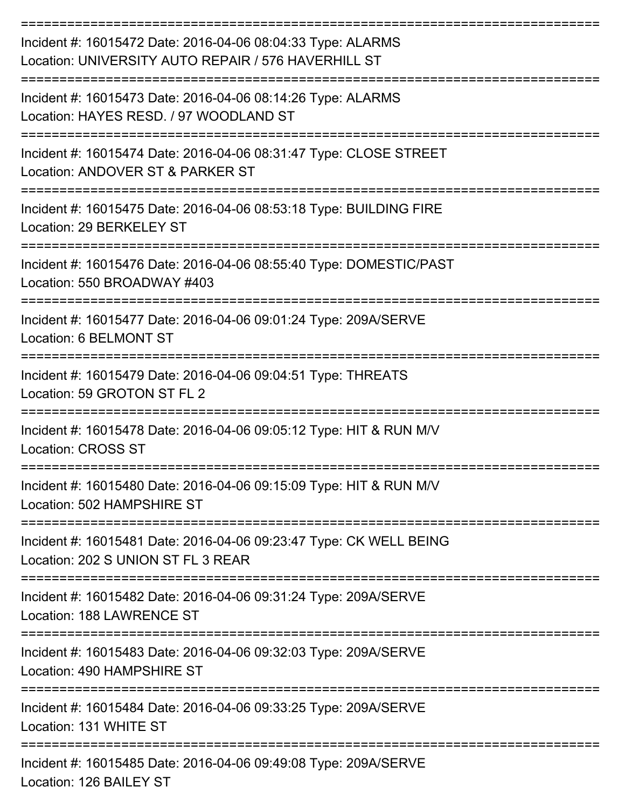| Incident #: 16015472 Date: 2016-04-06 08:04:33 Type: ALARMS<br>Location: UNIVERSITY AUTO REPAIR / 576 HAVERHILL ST |
|--------------------------------------------------------------------------------------------------------------------|
| Incident #: 16015473 Date: 2016-04-06 08:14:26 Type: ALARMS<br>Location: HAYES RESD. / 97 WOODLAND ST              |
| Incident #: 16015474 Date: 2016-04-06 08:31:47 Type: CLOSE STREET<br>Location: ANDOVER ST & PARKER ST              |
| Incident #: 16015475 Date: 2016-04-06 08:53:18 Type: BUILDING FIRE<br>Location: 29 BERKELEY ST                     |
| Incident #: 16015476 Date: 2016-04-06 08:55:40 Type: DOMESTIC/PAST<br>Location: 550 BROADWAY #403                  |
| Incident #: 16015477 Date: 2016-04-06 09:01:24 Type: 209A/SERVE<br>Location: 6 BELMONT ST                          |
| Incident #: 16015479 Date: 2016-04-06 09:04:51 Type: THREATS<br>Location: 59 GROTON ST FL 2                        |
| Incident #: 16015478 Date: 2016-04-06 09:05:12 Type: HIT & RUN M/V<br><b>Location: CROSS ST</b>                    |
| Incident #: 16015480 Date: 2016-04-06 09:15:09 Type: HIT & RUN M/V<br>Location: 502 HAMPSHIRE ST                   |
| Incident #: 16015481 Date: 2016-04-06 09:23:47 Type: CK WELL BEING<br>Location: 202 S UNION ST FL 3 REAR           |
| Incident #: 16015482 Date: 2016-04-06 09:31:24 Type: 209A/SERVE<br>Location: 188 LAWRENCE ST                       |
| Incident #: 16015483 Date: 2016-04-06 09:32:03 Type: 209A/SERVE<br>Location: 490 HAMPSHIRE ST                      |
| Incident #: 16015484 Date: 2016-04-06 09:33:25 Type: 209A/SERVE<br>Location: 131 WHITE ST                          |
| Incident #: 16015485 Date: 2016-04-06 09:49:08 Type: 209A/SERVE<br>Location: 126 BAILEY ST                         |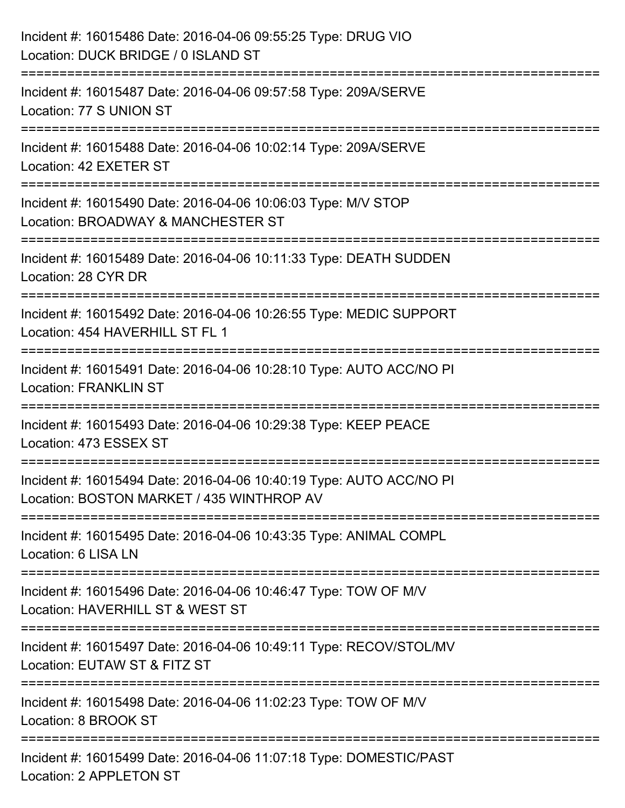| Incident #: 16015486 Date: 2016-04-06 09:55:25 Type: DRUG VIO<br>Location: DUCK BRIDGE / 0 ISLAND ST                       |
|----------------------------------------------------------------------------------------------------------------------------|
| Incident #: 16015487 Date: 2016-04-06 09:57:58 Type: 209A/SERVE<br>Location: 77 S UNION ST                                 |
| Incident #: 16015488 Date: 2016-04-06 10:02:14 Type: 209A/SERVE<br>Location: 42 EXETER ST<br>----------------------------- |
| Incident #: 16015490 Date: 2016-04-06 10:06:03 Type: M/V STOP<br>Location: BROADWAY & MANCHESTER ST                        |
| :=========================<br>Incident #: 16015489 Date: 2016-04-06 10:11:33 Type: DEATH SUDDEN<br>Location: 28 CYR DR     |
| Incident #: 16015492 Date: 2016-04-06 10:26:55 Type: MEDIC SUPPORT<br>Location: 454 HAVERHILL ST FL 1                      |
| Incident #: 16015491 Date: 2016-04-06 10:28:10 Type: AUTO ACC/NO PI<br><b>Location: FRANKLIN ST</b>                        |
| Incident #: 16015493 Date: 2016-04-06 10:29:38 Type: KEEP PEACE<br>Location: 473 ESSEX ST                                  |
| Incident #: 16015494 Date: 2016-04-06 10:40:19 Type: AUTO ACC/NO PI<br>Location: BOSTON MARKET / 435 WINTHROP AV           |
| Incident #: 16015495 Date: 2016-04-06 10:43:35 Type: ANIMAL COMPL<br>Location: 6 LISA LN                                   |
| Incident #: 16015496 Date: 2016-04-06 10:46:47 Type: TOW OF M/V<br>Location: HAVERHILL ST & WEST ST                        |
| Incident #: 16015497 Date: 2016-04-06 10:49:11 Type: RECOV/STOL/MV<br>Location: EUTAW ST & FITZ ST                         |
| Incident #: 16015498 Date: 2016-04-06 11:02:23 Type: TOW OF M/V<br>Location: 8 BROOK ST                                    |
| Incident #: 16015499 Date: 2016-04-06 11:07:18 Type: DOMESTIC/PAST<br>Location: 2 APPLETON ST                              |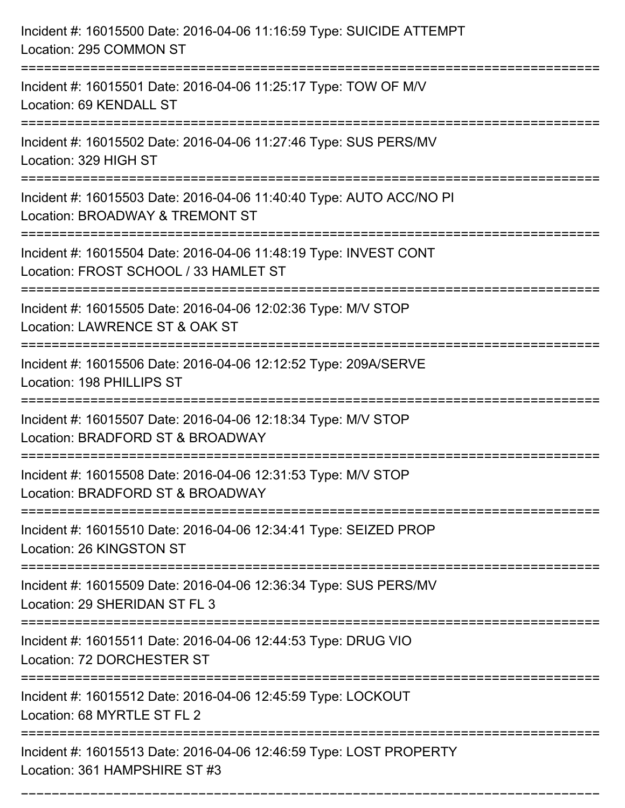| Incident #: 16015500 Date: 2016-04-06 11:16:59 Type: SUICIDE ATTEMPT<br>Location: 295 COMMON ST                                         |
|-----------------------------------------------------------------------------------------------------------------------------------------|
| Incident #: 16015501 Date: 2016-04-06 11:25:17 Type: TOW OF M/V<br>Location: 69 KENDALL ST                                              |
| Incident #: 16015502 Date: 2016-04-06 11:27:46 Type: SUS PERS/MV<br>Location: 329 HIGH ST                                               |
| Incident #: 16015503 Date: 2016-04-06 11:40:40 Type: AUTO ACC/NO PI<br>Location: BROADWAY & TREMONT ST                                  |
| Incident #: 16015504 Date: 2016-04-06 11:48:19 Type: INVEST CONT<br>Location: FROST SCHOOL / 33 HAMLET ST<br>========================== |
| Incident #: 16015505 Date: 2016-04-06 12:02:36 Type: M/V STOP<br>Location: LAWRENCE ST & OAK ST                                         |
| Incident #: 16015506 Date: 2016-04-06 12:12:52 Type: 209A/SERVE<br>Location: 198 PHILLIPS ST<br>:=============================          |
| Incident #: 16015507 Date: 2016-04-06 12:18:34 Type: M/V STOP<br>Location: BRADFORD ST & BROADWAY                                       |
| Incident #: 16015508 Date: 2016-04-06 12:31:53 Type: M/V STOP<br>Location: BRADFORD ST & BROADWAY                                       |
| Incident #: 16015510 Date: 2016-04-06 12:34:41 Type: SEIZED PROP<br>Location: 26 KINGSTON ST                                            |
| Incident #: 16015509 Date: 2016-04-06 12:36:34 Type: SUS PERS/MV<br>Location: 29 SHERIDAN ST FL 3                                       |
| Incident #: 16015511 Date: 2016-04-06 12:44:53 Type: DRUG VIO<br>Location: 72 DORCHESTER ST                                             |
| Incident #: 16015512 Date: 2016-04-06 12:45:59 Type: LOCKOUT<br>Location: 68 MYRTLE ST FL 2                                             |
| Incident #: 16015513 Date: 2016-04-06 12:46:59 Type: LOST PROPERTY<br>Location: 361 HAMPSHIRE ST #3                                     |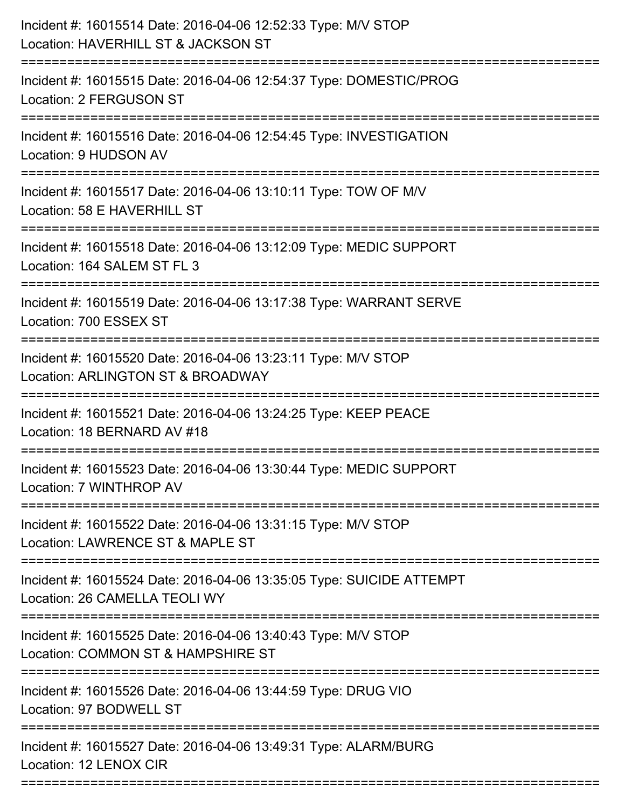| Incident #: 16015514 Date: 2016-04-06 12:52:33 Type: M/V STOP<br>Location: HAVERHILL ST & JACKSON ST<br>======================= |
|---------------------------------------------------------------------------------------------------------------------------------|
| Incident #: 16015515 Date: 2016-04-06 12:54:37 Type: DOMESTIC/PROG<br>Location: 2 FERGUSON ST                                   |
| Incident #: 16015516 Date: 2016-04-06 12:54:45 Type: INVESTIGATION<br>Location: 9 HUDSON AV                                     |
| Incident #: 16015517 Date: 2016-04-06 13:10:11 Type: TOW OF M/V<br>Location: 58 E HAVERHILL ST                                  |
| Incident #: 16015518 Date: 2016-04-06 13:12:09 Type: MEDIC SUPPORT<br>Location: 164 SALEM ST FL 3                               |
| Incident #: 16015519 Date: 2016-04-06 13:17:38 Type: WARRANT SERVE<br>Location: 700 ESSEX ST                                    |
| Incident #: 16015520 Date: 2016-04-06 13:23:11 Type: M/V STOP<br>Location: ARLINGTON ST & BROADWAY<br>====================      |
| Incident #: 16015521 Date: 2016-04-06 13:24:25 Type: KEEP PEACE<br>Location: 18 BERNARD AV #18                                  |
| Incident #: 16015523 Date: 2016-04-06 13:30:44 Type: MEDIC SUPPORT<br>Location: 7 WINTHROP AV                                   |
| Incident #: 16015522 Date: 2016-04-06 13:31:15 Type: M/V STOP<br>Location: LAWRENCE ST & MAPLE ST                               |
| Incident #: 16015524 Date: 2016-04-06 13:35:05 Type: SUICIDE ATTEMPT<br>Location: 26 CAMELLA TEOLI WY                           |
| Incident #: 16015525 Date: 2016-04-06 13:40:43 Type: M/V STOP<br>Location: COMMON ST & HAMPSHIRE ST                             |
| Incident #: 16015526 Date: 2016-04-06 13:44:59 Type: DRUG VIO<br>Location: 97 BODWELL ST                                        |
| Incident #: 16015527 Date: 2016-04-06 13:49:31 Type: ALARM/BURG<br>Location: 12 LENOX CIR                                       |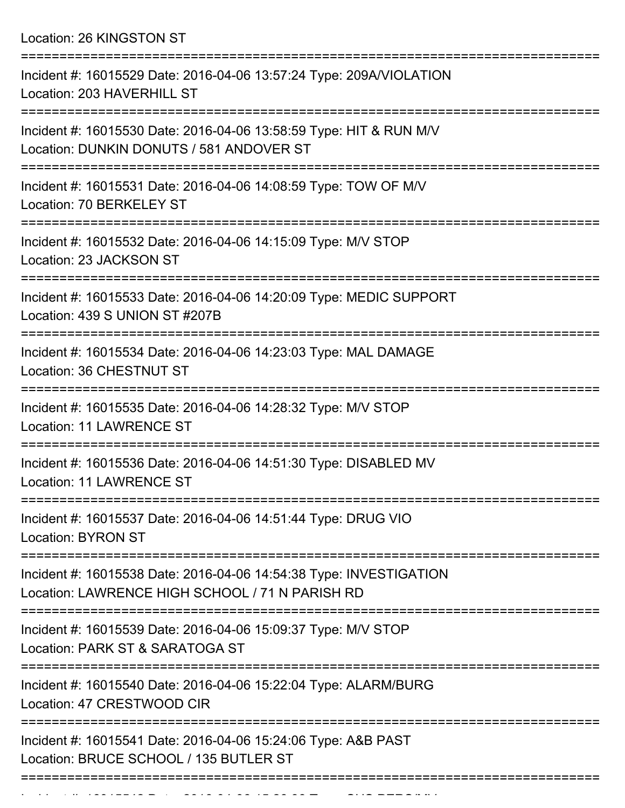Location: 26 KINGSTON ST

| Incident #: 16015529 Date: 2016-04-06 13:57:24 Type: 209A/VIOLATION<br>Location: 203 HAVERHILL ST                     |
|-----------------------------------------------------------------------------------------------------------------------|
| Incident #: 16015530 Date: 2016-04-06 13:58:59 Type: HIT & RUN M/V<br>Location: DUNKIN DONUTS / 581 ANDOVER ST        |
| Incident #: 16015531 Date: 2016-04-06 14:08:59 Type: TOW OF M/V<br>Location: 70 BERKELEY ST                           |
| Incident #: 16015532 Date: 2016-04-06 14:15:09 Type: M/V STOP<br>Location: 23 JACKSON ST                              |
| Incident #: 16015533 Date: 2016-04-06 14:20:09 Type: MEDIC SUPPORT<br>Location: 439 S UNION ST #207B                  |
| Incident #: 16015534 Date: 2016-04-06 14:23:03 Type: MAL DAMAGE<br>Location: 36 CHESTNUT ST                           |
| Incident #: 16015535 Date: 2016-04-06 14:28:32 Type: M/V STOP<br><b>Location: 11 LAWRENCE ST</b>                      |
| Incident #: 16015536 Date: 2016-04-06 14:51:30 Type: DISABLED MV<br><b>Location: 11 LAWRENCE ST</b>                   |
| Incident #: 16015537 Date: 2016-04-06 14:51:44 Type: DRUG VIO<br><b>Location: BYRON ST</b>                            |
| Incident #: 16015538 Date: 2016-04-06 14:54:38 Type: INVESTIGATION<br>Location: LAWRENCE HIGH SCHOOL / 71 N PARISH RD |
| Incident #: 16015539 Date: 2016-04-06 15:09:37 Type: M/V STOP<br>Location: PARK ST & SARATOGA ST                      |
| Incident #: 16015540 Date: 2016-04-06 15:22:04 Type: ALARM/BURG<br>Location: 47 CRESTWOOD CIR                         |
| Incident #: 16015541 Date: 2016-04-06 15:24:06 Type: A&B PAST<br>Location: BRUCE SCHOOL / 135 BUTLER ST               |
|                                                                                                                       |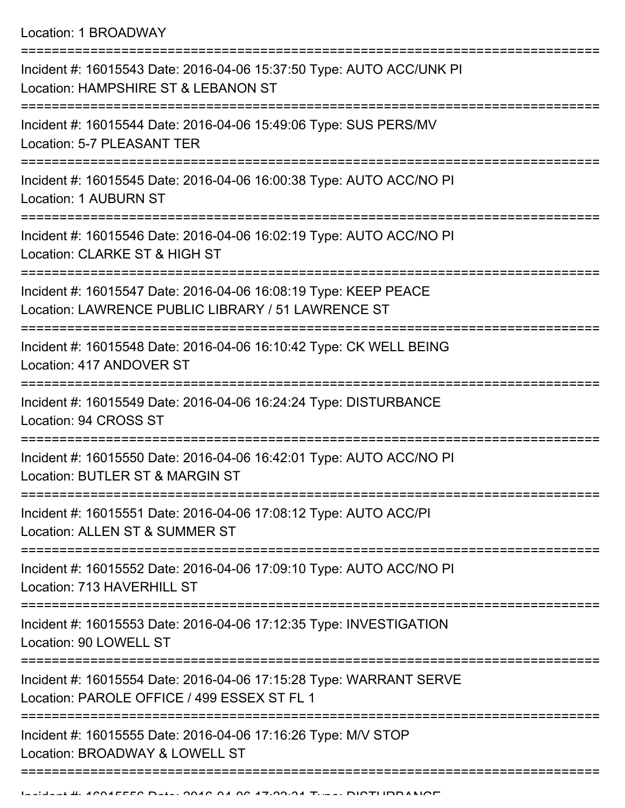Location: 1 BROADWAY

| Incident #: 16015543 Date: 2016-04-06 15:37:50 Type: AUTO ACC/UNK PI<br>Location: HAMPSHIRE ST & LEBANON ST            |
|------------------------------------------------------------------------------------------------------------------------|
| Incident #: 16015544 Date: 2016-04-06 15:49:06 Type: SUS PERS/MV<br>Location: 5-7 PLEASANT TER                         |
| Incident #: 16015545 Date: 2016-04-06 16:00:38 Type: AUTO ACC/NO PI<br><b>Location: 1 AUBURN ST</b>                    |
| Incident #: 16015546 Date: 2016-04-06 16:02:19 Type: AUTO ACC/NO PI<br>Location: CLARKE ST & HIGH ST                   |
| Incident #: 16015547 Date: 2016-04-06 16:08:19 Type: KEEP PEACE<br>Location: LAWRENCE PUBLIC LIBRARY / 51 LAWRENCE ST  |
| Incident #: 16015548 Date: 2016-04-06 16:10:42 Type: CK WELL BEING<br>Location: 417 ANDOVER ST                         |
| Incident #: 16015549 Date: 2016-04-06 16:24:24 Type: DISTURBANCE<br>Location: 94 CROSS ST                              |
| Incident #: 16015550 Date: 2016-04-06 16:42:01 Type: AUTO ACC/NO PI<br>Location: BUTLER ST & MARGIN ST                 |
| Incident #: 16015551 Date: 2016-04-06 17:08:12 Type: AUTO ACC/PI<br>Location: ALLEN ST & SUMMER ST                     |
| Incident #: 16015552 Date: 2016-04-06 17:09:10 Type: AUTO ACC/NO PI<br>Location: 713 HAVERHILL ST                      |
| ======================<br>Incident #: 16015553 Date: 2016-04-06 17:12:35 Type: INVESTIGATION<br>Location: 90 LOWELL ST |
| Incident #: 16015554 Date: 2016-04-06 17:15:28 Type: WARRANT SERVE<br>Location: PAROLE OFFICE / 499 ESSEX ST FL 1      |
| Incident #: 16015555 Date: 2016-04-06 17:16:26 Type: M/V STOP<br>Location: BROADWAY & LOWELL ST                        |
|                                                                                                                        |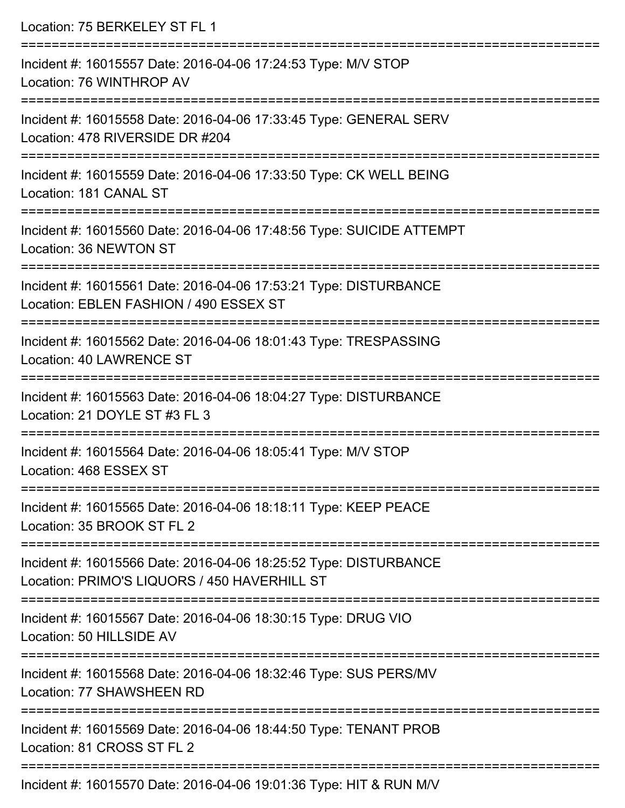| Location: 75 BERKELEY ST FL 1                                                                                    |
|------------------------------------------------------------------------------------------------------------------|
| Incident #: 16015557 Date: 2016-04-06 17:24:53 Type: M/V STOP<br>Location: 76 WINTHROP AV                        |
| Incident #: 16015558 Date: 2016-04-06 17:33:45 Type: GENERAL SERV<br>Location: 478 RIVERSIDE DR #204             |
| Incident #: 16015559 Date: 2016-04-06 17:33:50 Type: CK WELL BEING<br>Location: 181 CANAL ST                     |
| Incident #: 16015560 Date: 2016-04-06 17:48:56 Type: SUICIDE ATTEMPT<br>Location: 36 NEWTON ST                   |
| Incident #: 16015561 Date: 2016-04-06 17:53:21 Type: DISTURBANCE<br>Location: EBLEN FASHION / 490 ESSEX ST       |
| Incident #: 16015562 Date: 2016-04-06 18:01:43 Type: TRESPASSING<br>Location: 40 LAWRENCE ST                     |
| Incident #: 16015563 Date: 2016-04-06 18:04:27 Type: DISTURBANCE<br>Location: 21 DOYLE ST #3 FL 3                |
| Incident #: 16015564 Date: 2016-04-06 18:05:41 Type: M/V STOP<br>Location: 468 FSSEX ST                          |
| Incident #: 16015565 Date: 2016-04-06 18:18:11 Type: KEEP PEACE<br>Location: 35 BROOK ST FL 2                    |
| Incident #: 16015566 Date: 2016-04-06 18:25:52 Type: DISTURBANCE<br>Location: PRIMO'S LIQUORS / 450 HAVERHILL ST |
| Incident #: 16015567 Date: 2016-04-06 18:30:15 Type: DRUG VIO<br>Location: 50 HILLSIDE AV                        |
| Incident #: 16015568 Date: 2016-04-06 18:32:46 Type: SUS PERS/MV<br>Location: 77 SHAWSHEEN RD                    |
| Incident #: 16015569 Date: 2016-04-06 18:44:50 Type: TENANT PROB<br>Location: 81 CROSS ST FL 2                   |
| Incident #: 16015570 Date: 2016-04-06 19:01:36 Type: HIT & RUN M/V                                               |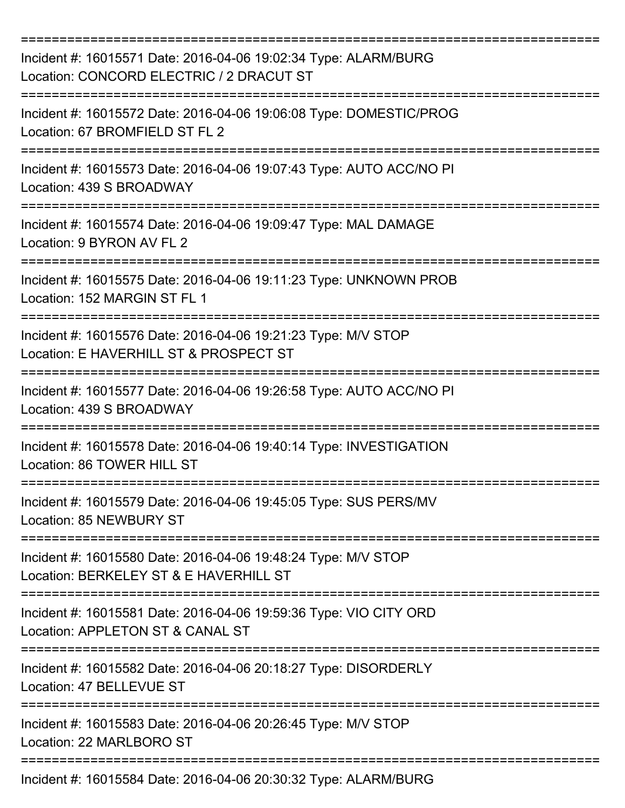| Incident #: 16015571 Date: 2016-04-06 19:02:34 Type: ALARM/BURG<br>Location: CONCORD ELECTRIC / 2 DRACUT ST<br>:==================== |
|--------------------------------------------------------------------------------------------------------------------------------------|
| Incident #: 16015572 Date: 2016-04-06 19:06:08 Type: DOMESTIC/PROG<br>Location: 67 BROMFIELD ST FL 2                                 |
| Incident #: 16015573 Date: 2016-04-06 19:07:43 Type: AUTO ACC/NO PI<br>Location: 439 S BROADWAY                                      |
| Incident #: 16015574 Date: 2016-04-06 19:09:47 Type: MAL DAMAGE<br>Location: 9 BYRON AV FL 2                                         |
| Incident #: 16015575 Date: 2016-04-06 19:11:23 Type: UNKNOWN PROB<br>Location: 152 MARGIN ST FL 1                                    |
| Incident #: 16015576 Date: 2016-04-06 19:21:23 Type: M/V STOP<br>Location: E HAVERHILL ST & PROSPECT ST                              |
| Incident #: 16015577 Date: 2016-04-06 19:26:58 Type: AUTO ACC/NO PI<br>Location: 439 S BROADWAY                                      |
| Incident #: 16015578 Date: 2016-04-06 19:40:14 Type: INVESTIGATION<br>Location: 86 TOWER HILL ST                                     |
| Incident #: 16015579 Date: 2016-04-06 19:45:05 Type: SUS PERS/MV<br>Location: 85 NEWBURY ST                                          |
| Incident #: 16015580 Date: 2016-04-06 19:48:24 Type: M/V STOP<br>Location: BERKELEY ST & E HAVERHILL ST                              |
| Incident #: 16015581 Date: 2016-04-06 19:59:36 Type: VIO CITY ORD<br>Location: APPLETON ST & CANAL ST                                |
| Incident #: 16015582 Date: 2016-04-06 20:18:27 Type: DISORDERLY<br>Location: 47 BELLEVUE ST                                          |
| Incident #: 16015583 Date: 2016-04-06 20:26:45 Type: M/V STOP<br>Location: 22 MARLBORO ST                                            |
| Incident #: 16015584 Date: 2016-04-06 20:30:32 Type: ALARM/BURG                                                                      |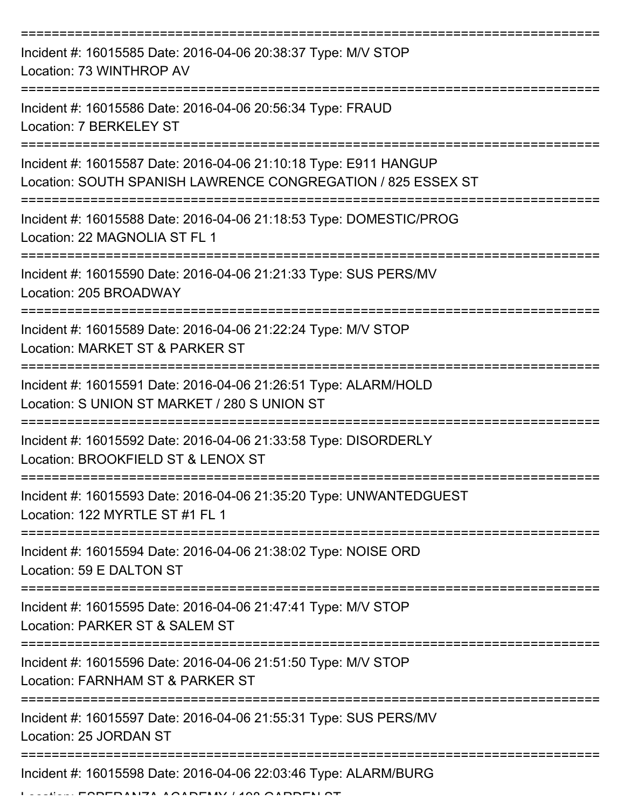| Incident #: 16015585 Date: 2016-04-06 20:38:37 Type: M/V STOP<br>Location: 73 WINTHROP AV                                        |
|----------------------------------------------------------------------------------------------------------------------------------|
| Incident #: 16015586 Date: 2016-04-06 20:56:34 Type: FRAUD<br>Location: 7 BERKELEY ST                                            |
| Incident #: 16015587 Date: 2016-04-06 21:10:18 Type: E911 HANGUP<br>Location: SOUTH SPANISH LAWRENCE CONGREGATION / 825 ESSEX ST |
| Incident #: 16015588 Date: 2016-04-06 21:18:53 Type: DOMESTIC/PROG<br>Location: 22 MAGNOLIA ST FL 1                              |
| Incident #: 16015590 Date: 2016-04-06 21:21:33 Type: SUS PERS/MV<br>Location: 205 BROADWAY                                       |
| Incident #: 16015589 Date: 2016-04-06 21:22:24 Type: M/V STOP<br>Location: MARKET ST & PARKER ST                                 |
| Incident #: 16015591 Date: 2016-04-06 21:26:51 Type: ALARM/HOLD<br>Location: S UNION ST MARKET / 280 S UNION ST                  |
| Incident #: 16015592 Date: 2016-04-06 21:33:58 Type: DISORDERLY<br>Location: BROOKFIELD ST & LENOX ST                            |
| Incident #: 16015593 Date: 2016-04-06 21:35:20 Type: UNWANTEDGUEST<br>Location: 122 MYRTLE ST #1 FL 1                            |
| Incident #: 16015594 Date: 2016-04-06 21:38:02 Type: NOISE ORD<br>Location: 59 E DALTON ST                                       |
| Incident #: 16015595 Date: 2016-04-06 21:47:41 Type: M/V STOP<br>Location: PARKER ST & SALEM ST                                  |
| Incident #: 16015596 Date: 2016-04-06 21:51:50 Type: M/V STOP<br>Location: FARNHAM ST & PARKER ST                                |
| Incident #: 16015597 Date: 2016-04-06 21:55:31 Type: SUS PERS/MV<br>Location: 25 JORDAN ST                                       |
| Incident #: 16015598 Date: 2016-04-06 22:03:46 Type: ALARM/BURG                                                                  |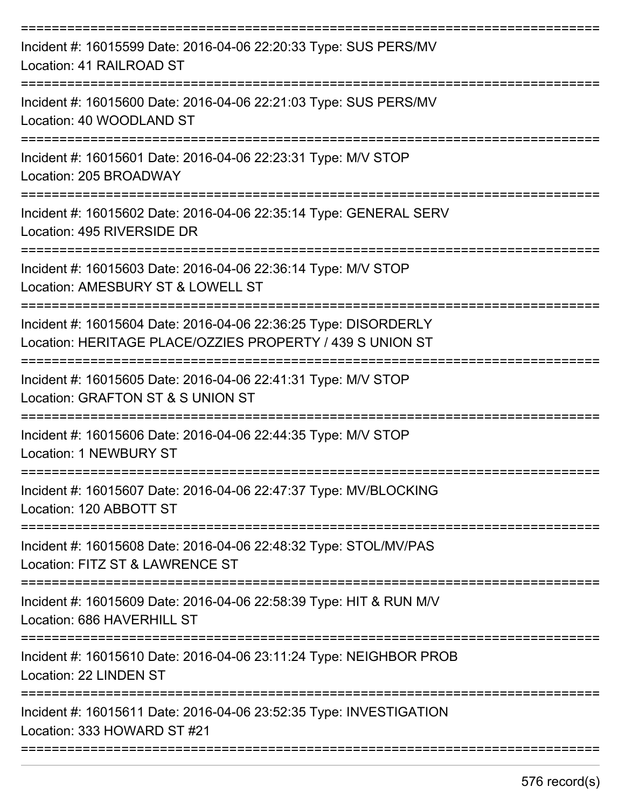| Incident #: 16015599 Date: 2016-04-06 22:20:33 Type: SUS PERS/MV<br>Location: 41 RAILROAD ST                                 |
|------------------------------------------------------------------------------------------------------------------------------|
| Incident #: 16015600 Date: 2016-04-06 22:21:03 Type: SUS PERS/MV<br>Location: 40 WOODLAND ST                                 |
| Incident #: 16015601 Date: 2016-04-06 22:23:31 Type: M/V STOP<br>Location: 205 BROADWAY                                      |
| Incident #: 16015602 Date: 2016-04-06 22:35:14 Type: GENERAL SERV<br>Location: 495 RIVERSIDE DR                              |
| Incident #: 16015603 Date: 2016-04-06 22:36:14 Type: M/V STOP<br>Location: AMESBURY ST & LOWELL ST                           |
| Incident #: 16015604 Date: 2016-04-06 22:36:25 Type: DISORDERLY<br>Location: HERITAGE PLACE/OZZIES PROPERTY / 439 S UNION ST |
| Incident #: 16015605 Date: 2016-04-06 22:41:31 Type: M/V STOP<br>Location: GRAFTON ST & S UNION ST                           |
| Incident #: 16015606 Date: 2016-04-06 22:44:35 Type: M/V STOP<br>Location: 1 NEWBURY ST                                      |
| Incident #: 16015607 Date: 2016-04-06 22:47:37 Type: MV/BLOCKING<br>Location: 120 ABBOTT ST                                  |
| Incident #: 16015608 Date: 2016-04-06 22:48:32 Type: STOL/MV/PAS<br>Location: FITZ ST & LAWRENCE ST                          |
| Incident #: 16015609 Date: 2016-04-06 22:58:39 Type: HIT & RUN M/V<br>Location: 686 HAVERHILL ST                             |
| Incident #: 16015610 Date: 2016-04-06 23:11:24 Type: NEIGHBOR PROB<br>Location: 22 LINDEN ST                                 |
| Incident #: 16015611 Date: 2016-04-06 23:52:35 Type: INVESTIGATION<br>Location: 333 HOWARD ST #21                            |
|                                                                                                                              |